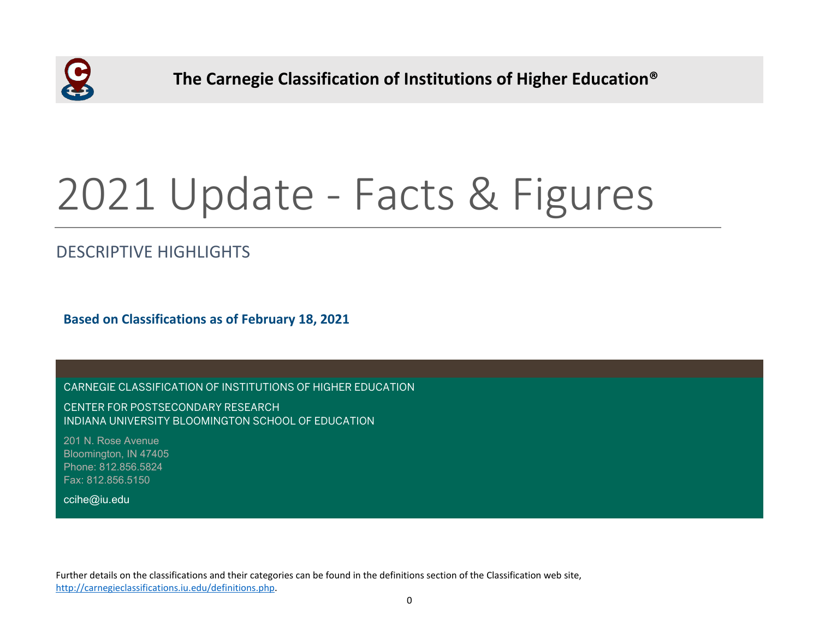

 **The Carnegie Classification of Institutions of Higher Education®**

# 2021 Update - Facts & Figures

# DESCRIPTIVE HIGHLIGHTS

**Based on Classifications as of February 18, 2021**

CARNEGIE CLASSIFICATION OF INSTITUTIONS OF HIGHER EDUCATION

CENTER FOR POSTSECONDARY RESEARCH INDIANA UNIVERSITY BLOOMINGTON SCHOOL OF EDUCATION

201 N. Rose Avenue Bloomington, IN 47405 Phone: 812.856.5824 Fax: 812.856.5150

ccihe@iu.edu

Further details on the classifications and their categories can be found in the definitions section of the Classification web site, [http://carnegieclassifications.iu.edu/definitions.php.](http://carnegieclassifications.iu.edu/definitions.php)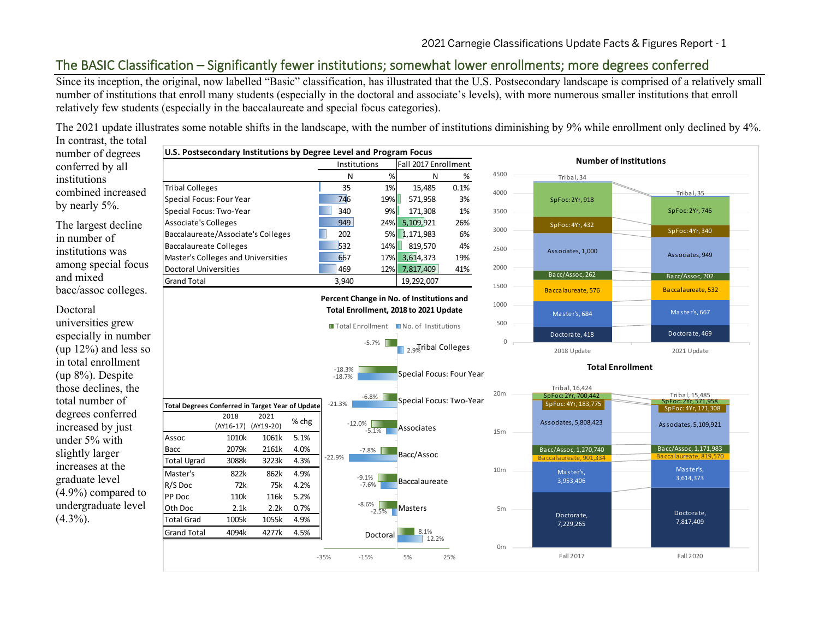# The BASIC Classification – Significantly fewer institutions; somewhat lower enrollments; more degrees conferred

Since its inception, the original, now labelled "Basic" classification, has illustrated that the U.S. Postsecondary landscape is comprised of a relatively small number of institutions that enroll many students (especially in the doctoral and associate's levels), with more numerous smaller institutions that enroll relatively few students (especially in the baccalaureate and special focus categories).

The 2021 update illustrates some notable shifts in the landscape, with the number of institutions diminishing by 9% while enrollment only declined by 4%.

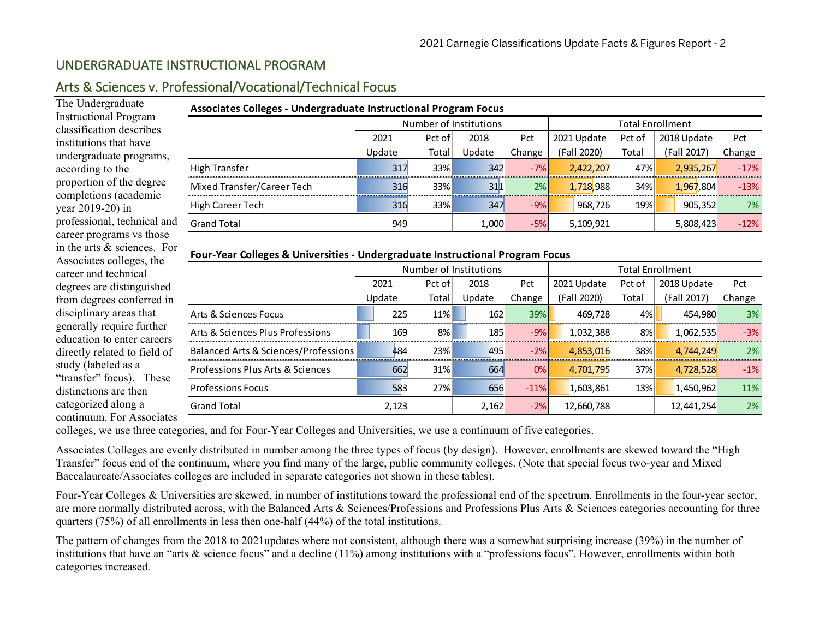## UNDERGRADUATE INSTRUCTIONAL PROGRAM

## Arts & Sciences v. Professional/Vocational/Technical Focus

The Undergraduate Instructional Program classification describes institutions that have undergraduate programs, according to the proportion of the degree completions (academic year 2019-20) in professional, technical and career programs vs those in the arts & sciences. For Associates colleges, the career and technical degrees are distinguished from degrees conferred in disciplinary areas that generally require further education to enter careers directly related to field of study (labeled as a "transfer" focus). These distinctions are then categorized along a continuum. For Associates

| Associates Colleges - Undergraduate Instructional Program Focus |                                                                              |       |                        |        |             |       |                         |        |  |  |  |
|-----------------------------------------------------------------|------------------------------------------------------------------------------|-------|------------------------|--------|-------------|-------|-------------------------|--------|--|--|--|
|                                                                 |                                                                              |       | Number of Institutions |        |             |       | <b>Total Enrollment</b> |        |  |  |  |
|                                                                 | 2018 Update<br>2018<br>2021 Update<br>2021<br>Pct of<br>Pct of<br><b>Pct</b> |       |                        |        |             |       |                         | Pct    |  |  |  |
|                                                                 | Update                                                                       | Total | Update                 | Change | (Fall 2020) | Total | (Fall 2017)             | Change |  |  |  |
| High Transfer                                                   | 317                                                                          | 33%   | 342                    | $-7%$  | 2,422,207   | 47%   | 2,935,267               | $-17%$ |  |  |  |
| Mixed Transfer/Career Tech                                      | 316                                                                          | 33%   | 311                    | 2%     | 1,718,988   | 34%   | 1,967,804               | $-13%$ |  |  |  |
| High Career Tech                                                | 316                                                                          | 33%   | 347                    | $-9%$  | 968,726     | 19%   | 905,352                 | 7%     |  |  |  |
| <b>Grand Total</b>                                              | 949                                                                          |       | 1,000                  | $-5%$  | 5,109,921   |       | 5,808,423               | $-12%$ |  |  |  |

## **Four-Year Colleges & Universities - Undergraduate Instructional Program Focus**

|                                      |        |        | Number of Institutions |        |             |        | <b>Total Enrollment</b> |        |
|--------------------------------------|--------|--------|------------------------|--------|-------------|--------|-------------------------|--------|
|                                      | 2021   | Pct of | 2018                   | Pct    | 2021 Update | Pct of | 2018 Update             | Pct    |
|                                      | Update | Total  | Update                 | Change | (Fall 2020) | Total  | (Fall 2017)             | Change |
| Arts & Sciences Focus                | 225    | 11%    | 162                    | 39%    | 469,728     | 4%     | 454.980                 | 3%     |
| Arts & Sciences Plus Professions     | 169    | 8%     | 185                    | $-9%$  | 1,032,388   | 8%     | 1,062,535               | $-3%$  |
| Balanced Arts & Sciences/Professions | 484    | 23%    | 495                    | $-2%$  | 4,853,016   | 38%    | 4,744,249               | 2%     |
| Professions Plus Arts & Sciences     | 662    | 31%    | 664                    | 0%     | 4,701,795   | 37%    | 4,728,528               | $-1%$  |
| <b>Professions Focus</b>             | 583    | 27%    | 656                    | $-11%$ | 1,603,861   | 13%    | 1,450,962               | 11%    |
| <b>Grand Total</b>                   | 2.123  |        | 2,162                  | $-2%$  | 12,660,788  |        | 12,441,254              | 2%     |

colleges, we use three categories, and for Four-Year Colleges and Universities, we use a continuum of five categories.

Associates Colleges are evenly distributed in number among the three types of focus (by design). However, enrollments are skewed toward the "High Transfer" focus end of the continuum, where you find many of the large, public community colleges. (Note that special focus two-year and Mixed Baccalaureate/Associates colleges are included in separate categories not shown in these tables).

Four-Year Colleges & Universities are skewed, in number of institutions toward the professional end of the spectrum. Enrollments in the four-year sector, are more normally distributed across, with the Balanced Arts & Sciences/Professions and Professions Plus Arts & Sciences categories accounting for three quarters (75%) of all enrollments in less then one-half (44%) of the total institutions.

The pattern of changes from the 2018 to 2021updates where not consistent, although there was a somewhat surprising increase (39%) in the number of institutions that have an "arts & science focus" and a decline (11%) among institutions with a "professions focus". However, enrollments within both categories increased.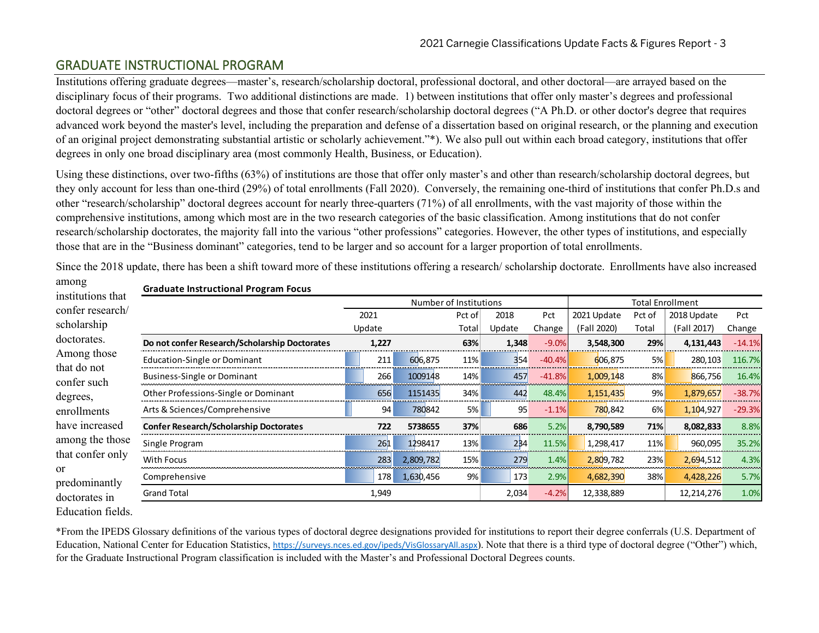## GRADUATE INSTRUCTIONAL PROGRAM

**Graduate Instructional Program Focus**

Institutions offering graduate degrees—master's, research/scholarship doctoral, professional doctoral, and other doctoral—are arrayed based on the disciplinary focus of their programs. Two additional distinctions are made. 1) between institutions that offer only master's degrees and professional doctoral degrees or "other" doctoral degrees and those that confer research/scholarship doctoral degrees ("A Ph.D. or other doctor's degree that requires advanced work beyond the master's level, including the preparation and defense of a dissertation based on original research, or the planning and execution of an original project demonstrating substantial artistic or scholarly achievement."\*). We also pull out within each broad category, institutions that offer degrees in only one broad disciplinary area (most commonly Health, Business, or Education).

Using these distinctions, over two-fifths (63%) of institutions are those that offer only master's and other than research/scholarship doctoral degrees, but they only account for less than one-third (29%) of total enrollments (Fall 2020). Conversely, the remaining one-third of institutions that confer Ph.D.s and other "research/scholarship" doctoral degrees account for nearly three-quarters (71%) of all enrollments, with the vast majority of those within the comprehensive institutions, among which most are in the two research categories of the basic classification. Among institutions that do not confer research/scholarship doctorates, the majority fall into the various "other professions" categories. However, the other types of institutions, and especially those that are in the "Business dominant" categories, tend to be larger and so account for a larger proportion of total enrollments.

| institutions that          | Graduate instructional Program Focus          |        |                        |       |        |          |             |                         |             |          |  |
|----------------------------|-----------------------------------------------|--------|------------------------|-------|--------|----------|-------------|-------------------------|-------------|----------|--|
|                            |                                               |        | Number of Institutions |       |        |          |             | <b>Total Enrollment</b> |             |          |  |
| confer research/           |                                               | 2021   |                        |       | 2018   | Pct      | 2021 Update | Pct of                  | 2018 Update | Pct      |  |
| scholarship                |                                               | Update |                        | Total | Update | Change   | (Fall 2020) | Total                   | (Fall 2017) | Change   |  |
| doctorates.                | Do not confer Research/Scholarship Doctorates | 1,227  |                        | 63%   | 1,348  | $-9.0%$  | 3,548,300   | 29%                     | 4,131,443   | $-14.1%$ |  |
| Among those<br>that do not | Education-Single or Dominant                  | 211    | 606.875                | 11%   | 354    | $-40.4%$ | 606.875     | 5%                      | 280,103     | 116.7%   |  |
| confer such                | <b>Business-Single or Dominant</b>            | 266    | 1009148                | 14%   | 457    | $-41.8%$ | 1,009,148   | 8%                      | 866,756     | 16.4%    |  |
| degrees,                   | Other Professions-Single or Dominant          | 656    | 1151435                | 34%   | 442    | 48.4%    | 1,151,435   | 9%                      | 1,879,657   | $-38.7%$ |  |
| enrollments                | Arts & Sciences/Comprehensive                 | 94     | 780842                 | 5%    | 95     | $-1.1%$  | 780,842     | 6%                      | 1,104,927   | $-29.3%$ |  |
| have increased             | <b>Confer Research/Scholarship Doctorates</b> | 722    | 5738655                | 37%   | 686    | 5.2%     | 8,790,589   | 71%                     | 8,082,833   | 8.8%     |  |
| among the those            | Single Program                                | 261    | 1298417                | 13%   | 234    | 11.5%    | 1,298,417   | 11%                     | 960,095     | 35.2%    |  |
| that confer only           | With Focus                                    | 283    | 2,809,782              | 15%   | 279    | 1.4%     | 2,809,782   | 23%                     | 2,694,512   | 4.3%     |  |
| or<br>predominantly        | Comprehensive                                 | 178    | 1,630,456              | 9%    | 173    | 2.9%     | 4,682,390   | 38%                     | 4,428,226   | 5.7%     |  |
| doctorates in              | <b>Grand Total</b>                            | 1,949  |                        |       | 2,034  | $-4.2%$  | 12,338,889  |                         | 12,214,276  | 1.0%     |  |
|                            |                                               |        |                        |       |        |          |             |                         |             |          |  |

Since the 2018 update, there has been a shift toward more of these institutions offering a research/ scholarship doctorate. Enrollments have also increased

Education fields.

among

\*From the IPEDS Glossary definitions of the various types of doctoral degree designations provided for institutions to report their degree conferrals (U.S. Department of Education, National Center for Education Statistics, <https://surveys.nces.ed.gov/ipeds/VisGlossaryAll.aspx>). Note that there is a third type of doctoral degree ("Other") which, for the Graduate Instructional Program classification is included with the Master's and Professional Doctoral Degrees counts.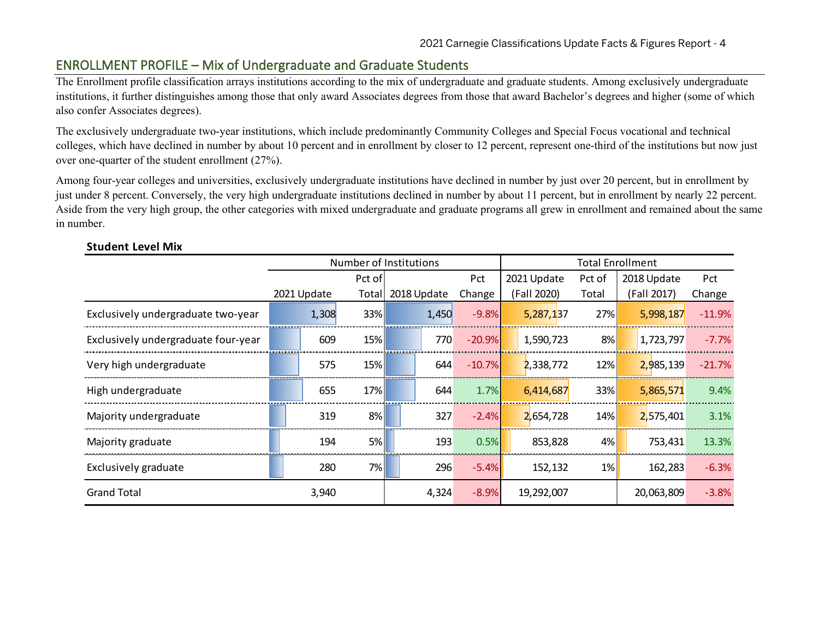## ENROLLMENT PROFILE – Mix of Undergraduate and Graduate Students

The Enrollment profile classification arrays institutions according to the mix of undergraduate and graduate students. Among exclusively undergraduate institutions, it further distinguishes among those that only award Associates degrees from those that award Bachelor's degrees and higher (some of which also confer Associates degrees).

The exclusively undergraduate two-year institutions, which include predominantly Community Colleges and Special Focus vocational and technical colleges, which have declined in number by about 10 percent and in enrollment by closer to 12 percent, represent one-third of the institutions but now just over one-quarter of the student enrollment (27%).

Among four-year colleges and universities, exclusively undergraduate institutions have declined in number by just over 20 percent, but in enrollment by just under 8 percent. Conversely, the very high undergraduate institutions declined in number by about 11 percent, but in enrollment by nearly 22 percent. Aside from the very high group, the other categories with mixed undergraduate and graduate programs all grew in enrollment and remained about the same in number.

|                                     |             |       | Number of Institutions |             |       |          | <b>Total Enrollment</b> |             |        |             |            |          |
|-------------------------------------|-------------|-------|------------------------|-------------|-------|----------|-------------------------|-------------|--------|-------------|------------|----------|
|                                     |             |       | Pct of                 |             |       | Pct      |                         | 2021 Update | Pct of | 2018 Update |            | Pct      |
|                                     | 2021 Update |       | Total                  | 2018 Update |       | Change   |                         | (Fall 2020) | Total  | (Fall 2017) |            | Change   |
| Exclusively undergraduate two-year  |             | 1,308 | 33%                    |             | 1,450 | $-9.8%$  |                         | 5,287,137   | 27%    |             | 5,998,187  | $-11.9%$ |
| Exclusively undergraduate four-year |             | 609   | 15%                    |             | 770   | $-20.9%$ |                         | 1,590,723   | 8%     |             | 1,723,797  | $-7.7%$  |
| Very high undergraduate             |             | 575   | 15%                    |             | 644   | $-10.7%$ |                         | 2,338,772   | 12%    |             | 2,985,139  | $-21.7%$ |
| High undergraduate                  |             | 655   | 17%                    |             | 644   | 1.7%     |                         | 6,414,687   | 33%    |             | 5,865,571  | 9.4%     |
| Majority undergraduate              |             | 319   | 8%                     |             | 327   | $-2.4%$  |                         | 2,654,728   | 14%    |             | 2,575,401  | 3.1%     |
| Majority graduate                   |             | 194   | 5%                     |             | 193   | 0.5%     |                         | 853,828     | 4%     |             | 753,431    | 13.3%    |
| Exclusively graduate                |             | 280   | 7%                     |             | 296   | $-5.4%$  |                         | 152,132     | $1\%$  |             | 162,283    | $-6.3%$  |
| <b>Grand Total</b>                  |             | 3,940 |                        |             | 4,324 | $-8.9%$  |                         | 19,292,007  |        |             | 20,063,809 | $-3.8%$  |

## **Student Level Mix**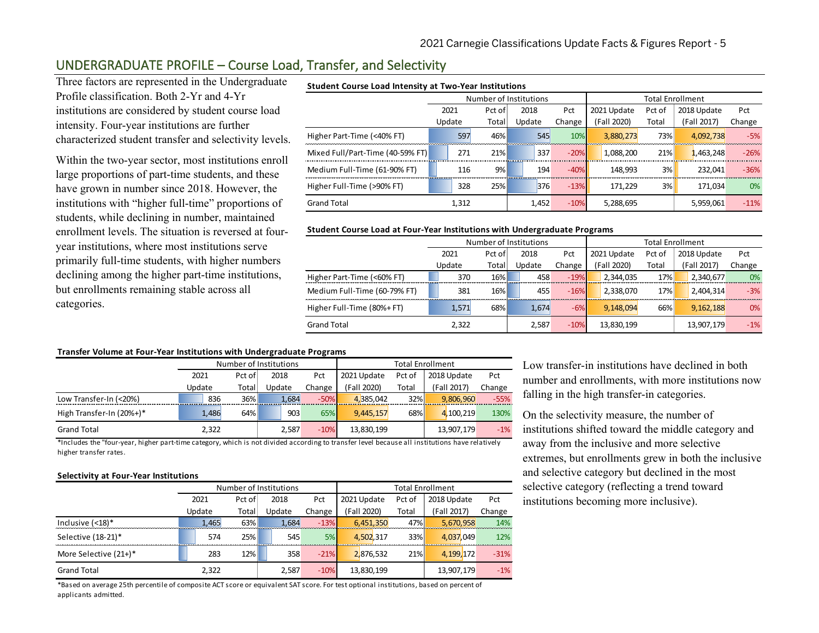# UNDERGRADUATE PROFILE – Course Load, Transfer, and Selectivity

Three factors are represented in the Undergraduate Profile classification. Both 2-Yr and 4-Yr institutions are considered by student course load intensity. Four-year institutions are further characterized student transfer and selectivity levels.

Within the two-year sector, most institutions enroll large proportions of part-time students, and these have grown in number since 2018. However, the institutions with "higher full-time" proportions of students, while declining in number, maintained enrollment levels. The situation is reversed at fouryear institutions, where most institutions serve primarily full-time students, with higher numbers declining among the higher part-time institutions, but enrollments remaining stable across all categories.

#### **Student Course Load Intensity at Two-Year Institutions**

|                                  |        | Number of Institutions |        |        |             | <b>Total Enrollment</b> |             |             |        |
|----------------------------------|--------|------------------------|--------|--------|-------------|-------------------------|-------------|-------------|--------|
|                                  | 2021   | Pct of                 | 2018   | Pct    | 2021 Update | Pct of                  | 2018 Update |             | Pct    |
|                                  | Update | Total                  | Update | Change | (Fall 2020) | Total                   |             | (Fall 2017) | Change |
| Higher Part-Time (<40% FT)       | 597    | 46%                    | 545    | 10%    | 3,880,273   | 73%                     |             | 4,092,738   | $-5%$  |
| Mixed Full/Part-Time (40-59% FT) | 271    | 21%                    | 337    | $-20%$ | 1.088.200   | 21%                     |             | 1.463.248   | $-26%$ |
| Medium Full-Time (61-90% FT)     | 116    | 9%                     | 194    | $-40%$ | 148.993     | 3%                      |             | 232.041     | $-36%$ |
| Higher Full-Time (>90% FT)       | 328    | 25%                    | 376    | $-13%$ | 171.229     | 3%                      |             | 171.034     | 0%     |
| <b>Grand Total</b>               | 1.312  |                        | 1,452  | $-10%$ | 5,288,695   |                         |             | 5,959,061   | $-11%$ |

#### **Student Course Load at Four-Year Institutions with Undergraduate Programs**

|                              |        | Number of Institutions |  |        |        | <b>Total Enrollment</b> |             |        |             |             |        |
|------------------------------|--------|------------------------|--|--------|--------|-------------------------|-------------|--------|-------------|-------------|--------|
|                              | 2021   | Pct of                 |  | 2018   | Pct    | 2021 Update             |             | Pct of | 2018 Update |             | Pct    |
|                              | Update | Total                  |  | Update | Change |                         | (Fall 2020) | Total  |             | (Fall 2017) | Change |
| Higher Part-Time (<60% FT)   | 370    | 16%                    |  | 458    | $-19%$ |                         | 2.344.035   | 17%    |             | 2,340,677   | 0%     |
| Medium Full-Time (60-79% FT) | 381    | 16%                    |  | 455    | $-16%$ |                         | 2,338,070   | 17%    |             | 2,404,314   | $-3%$  |
| Higher Full-Time (80%+ FT)   | 1,571  | 68%                    |  | 1,674  | $-6%$  |                         | 9,148,094   | 66%    |             | 9, 162, 188 | $0\%$  |
| <b>Grand Total</b>           | 2,322  |                        |  | 2,587  | $-10%$ |                         | 13,830,199  |        |             | 13,907,179  | $-1\%$ |

#### **Transfer Volume at Four-Year Institutions with Undergraduate Programs**

|                          |        |        | Number of Institutions |        |             |        | <b>Total Enrollment</b> |        |
|--------------------------|--------|--------|------------------------|--------|-------------|--------|-------------------------|--------|
|                          | 2021   | Pct of | 2018                   | Pct    | 2021 Update | Pct of | 2018 Update             | Pct    |
|                          | Update | Total  | Update                 | Change | (Fall 2020) | Total  | (Fall 2017)             | Change |
| Low Transfer-In (<20%)   | 836    | 36%    | 1.684                  | $-50%$ | 4.385.042   | 32%    | 9.806.960               | $-55%$ |
| High Transfer-In (20%+)* | 1.486  | 64%    | 903                    | 65%    | 9,445,157   | 68%    | 4.100.219               | 130%   |
| <b>Grand Total</b>       | 2,322  |        | 2,587                  | $-10%$ | 13,830,199  |        | 13,907,179              | $-1%$  |

\*Includes the "four-year, higher part-time category, which is not divided according to transfer level because all institutions have relatively higher transfer rates.

#### **Selectivity at Four-Year Institutions**

|                                |        |        | Number of Institutions |        | <b>Total Enrollment</b> |        |             |        |  |  |
|--------------------------------|--------|--------|------------------------|--------|-------------------------|--------|-------------|--------|--|--|
|                                | 2021   | Pct of | 2018                   | Pct    | 2021 Update             | Pct of | 2018 Update | Pct    |  |  |
|                                | Update | Total  | Update                 |        | (Fall 2020)             | Total  | (Fall 2017) | Change |  |  |
| Inclusive $(<18)$ <sup>*</sup> | 1.465  | 63%    | 1.684                  | $-13%$ | 6,451,350               | 47%    | 5.670.958   | 14%    |  |  |
| Selective (18-21)*             | 574    | 25%    | 545                    | 5%     | 4,502,317               | 33%    | 4,037,049   | 12%    |  |  |
| More Selective (21+)*          | 283    | 12%    | 358                    | $-21%$ | 2,876,532               | 21%    | 4,199,172   | $-31%$ |  |  |
| <b>Grand Total</b>             | 2,322  |        | 2,587                  | $-10%$ | 13,830,199              |        | 13,907,179  | $-1%$  |  |  |

\*Based on average 25th percentile of composite ACT score or equivalent SAT score. For test optional institutions, based on percent of applicants admitted.

Low transfer-in institutions have declined in both number and enrollments, with more institutions now falling in the high transfer-in categories.

On the selectivity measure, the number of institutions shifted toward the middle category and away from the inclusive and more selective extremes, but enrollments grew in both the inclusive and selective category but declined in the most selective category (reflecting a trend toward institutions becoming more inclusive).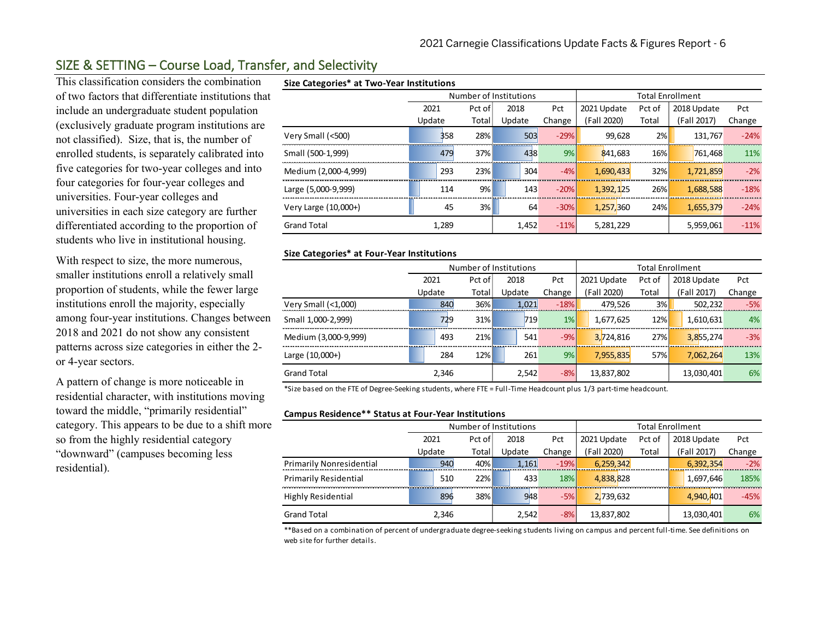# SIZE & SETTING – Course Load, Transfer, and Selectivity

This classification considers the combination of two factors that differentiate institutions that include an undergraduate student population (exclusively graduate program institutions are not classified). Size, that is, the number of enrolled students, is separately calibrated into five categories for two-year colleges and into four categories for four-year colleges and universities. Four-year colleges and universities in each size category are further differentiated according to the proportion of students who live in institutional housing.

With respect to size, the more numerous, smaller institutions enroll a relatively small proportion of students, while the fewer large institutions enroll the majority, especially among four-year institutions. Changes between 2018 and 2021 do not show any consistent patterns across size categories in either the 2 or 4-year sectors.

A pattern of change is more noticeable in residential character, with institutions moving toward the middle, "primarily residential" category. This appears to be due to a shift more so from the highly residential category "downward" (campuses becoming less residential).

## **Size Categories\* at Two-Year Institutions**

| Size Categories at I wo-Tear institutions |        |        |                        |        |             |        |                         |        |
|-------------------------------------------|--------|--------|------------------------|--------|-------------|--------|-------------------------|--------|
|                                           |        |        | Number of Institutions |        |             |        | <b>Total Enrollment</b> |        |
|                                           | 2021   | Pct of | 2018                   | Pct    | 2021 Update | Pct of | 2018 Update             | Pct    |
|                                           | Update | Total  | Update                 | Change | (Fall 2020) | Total  | (Fall 2017)             | Change |
| Very Small (<500)                         | 358    | 28%    | 503                    | $-29%$ | 99,628      | 2%     | 131.767                 | $-24%$ |
| Small (500-1,999)                         | 479    | 37%    | 438                    | 9%     | 841,683     | 16%    | 761.468                 | 11%    |
| Medium (2,000-4,999)                      | 293    | 23%    | 304                    | $-4%$  | 1,690,433   | 32%    | 1,721,859               | $-2%$  |
| Large (5,000-9,999)                       | 114    | 9%     | 143                    | $-20%$ | 1,392,125   | 26%    | 1,688,588               | $-18%$ |
| Very Large (10,000+)                      | 45     | 3%     | 64                     | $-30%$ | 1,257,360   | 24%    | 1,655,379               | $-24%$ |
| <b>Grand Total</b>                        | 1,289  |        | 1,452                  | $-11%$ | 5,281,229   |        | 5,959,061               | $-11%$ |

#### **Size Categories\* at Four-Year Institutions**

|                      |        |        | Number of Institutions |        | <b>Total Enrollment</b> |        |             |        |  |  |
|----------------------|--------|--------|------------------------|--------|-------------------------|--------|-------------|--------|--|--|
|                      | 2021   | Pct of | 2018                   | Pct    | 2021 Update             | Pct of | 2018 Update | Pct    |  |  |
|                      | Update | Total  | Update                 | Change | Fall 2020)              | Total  | (Fall 2017) | Change |  |  |
| Very Small (<1,000)  | 840    | $36\%$ | 1,021                  | $-18%$ | 479,526                 | 3%     | 502,232     | $-5%$  |  |  |
| Small 1,000-2,999)   | 729    | $31\%$ | 719                    | $1\%$  | 1,677,625               | 12%    | 1,610,631   | 4%     |  |  |
| Medium (3,000-9,999) | 493    | 21%    | 541                    | $-9%$  | 3,724,816               | 27%    | 3,855,274   | $-3%$  |  |  |
| Large (10,000+)      | 284    | 12%    | 261                    | 9%     | 7,955,835               | 57%    | 7,062,264   | 13%    |  |  |
| <b>Grand Total</b>   | 2,346  |        | 2,542                  | $-8%$  | 13,837,802              |        | 13,030,401  | 6%     |  |  |

\*Size based on the FTE of Degree-Seeking students, where FTE = Full-Time Headcount plus 1/3 part-time headcount.

#### **Campus Residence\*\* Status at Four-Year Institutions**

|                                 |                | Number of Institutions |        |        |        | <b>Total Enrollment</b> |        |             |             |        |  |
|---------------------------------|----------------|------------------------|--------|--------|--------|-------------------------|--------|-------------|-------------|--------|--|
|                                 | 2021<br>Pct of |                        | 2018   | Pct    |        | 2021 Update             | Pct of | 2018 Update |             | Pct    |  |
|                                 | Update         | Total                  | Update | Change |        | (Fall 2020)             | Total  |             | (Fall 2017) | Change |  |
| <b>Primarily Nonresidential</b> | 940            | $40\%$                 |        | 1,161  | $-19%$ | 6,259,342               |        |             | 6,392,354   | $-2%$  |  |
| <b>Primarily Residential</b>    | 510            | 22%                    |        | 433    | 18%    | 4,838,828               |        |             | 1,697,646   | 185%   |  |
| <b>Highly Residential</b>       | 896            | $38\%$                 |        | 948    | $-5%$  | 2,739,632               |        |             | 4.940.401   | $-45%$ |  |
| <b>Grand Total</b>              | 2,346          |                        |        | 2,542  | $-8%$  | 13,837,802              |        |             | 13,030,401  | 6%     |  |

\*\*Based on a combination of percent of undergraduate degree-seeking students living on campus and percent full-time. See definitions on web site for further details.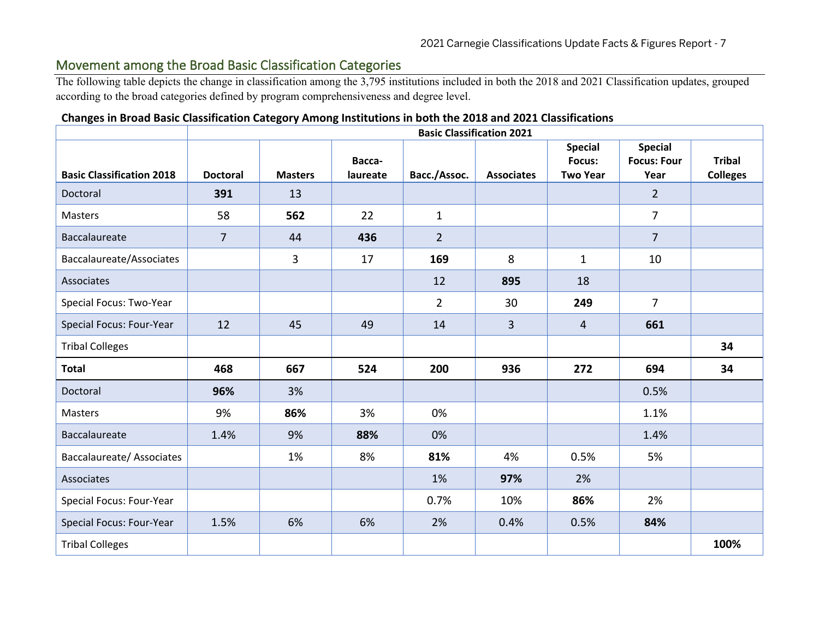## Movement among the Broad Basic Classification Categories

The following table depicts the change in classification among the 3,795 institutions included in both the 2018 and 2021 Classification updates, grouped according to the broad categories defined by program comprehensiveness and degree level.

## **Changes in Broad Basic Classification Category Among Institutions in both the 2018 and 2021 Classifications**

|                                  |                 |                |          | <b>Basic Classification 2021</b> |                   |                          |                                      |                 |
|----------------------------------|-----------------|----------------|----------|----------------------------------|-------------------|--------------------------|--------------------------------------|-----------------|
|                                  |                 |                | Bacca-   |                                  |                   | <b>Special</b><br>Focus: | <b>Special</b><br><b>Focus: Four</b> | <b>Tribal</b>   |
| <b>Basic Classification 2018</b> | <b>Doctoral</b> | <b>Masters</b> | laureate | Bacc./Assoc.                     | <b>Associates</b> | <b>Two Year</b>          | Year                                 | <b>Colleges</b> |
| Doctoral                         | 391             | 13             |          |                                  |                   |                          | $\overline{2}$                       |                 |
| Masters                          | 58              | 562            | 22       | $\mathbf{1}$                     |                   |                          | $\overline{7}$                       |                 |
| Baccalaureate                    | $\overline{7}$  | 44             | 436      | $\overline{2}$                   |                   |                          | $\overline{7}$                       |                 |
| Baccalaureate/Associates         |                 | 3              | 17       | 169                              | 8                 | $\mathbf{1}$             | 10                                   |                 |
| Associates                       |                 |                |          | 12                               | 895               | 18                       |                                      |                 |
| Special Focus: Two-Year          |                 |                |          | $\overline{2}$                   | 30                | 249                      | $\overline{7}$                       |                 |
| Special Focus: Four-Year         | 12              | 45             | 49       | 14                               | $\overline{3}$    | 4                        | 661                                  |                 |
| <b>Tribal Colleges</b>           |                 |                |          |                                  |                   |                          |                                      | 34              |
| <b>Total</b>                     | 468             | 667            | 524      | 200                              | 936               | 272                      | 694                                  | 34              |
| Doctoral                         | 96%             | 3%             |          |                                  |                   |                          | 0.5%                                 |                 |
| Masters                          | 9%              | 86%            | 3%       | 0%                               |                   |                          | 1.1%                                 |                 |
| Baccalaureate                    | 1.4%            | 9%             | 88%      | 0%                               |                   |                          | 1.4%                                 |                 |
| <b>Baccalaureate/ Associates</b> |                 | 1%             | 8%       | 81%                              | 4%                | 0.5%                     | 5%                                   |                 |
| Associates                       |                 |                |          | 1%                               | 97%               | 2%                       |                                      |                 |
| Special Focus: Four-Year         |                 |                |          | 0.7%                             | 10%               | 86%                      | 2%                                   |                 |
| Special Focus: Four-Year         | 1.5%            | 6%             | 6%       | 2%                               | 0.4%              | 0.5%                     | 84%                                  |                 |
| <b>Tribal Colleges</b>           |                 |                |          |                                  |                   |                          |                                      | 100%            |